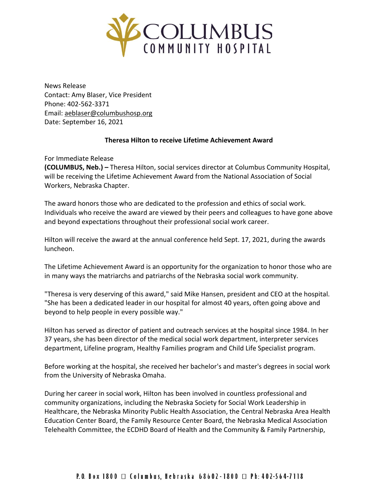

News Release Contact: Amy Blaser, Vice President Phone: 402-562-3371 Email: [aeblaser@columbushosp.org](mailto:aeblaser@columbushosp.org) Date: September 16, 2021

## **Theresa Hilton to receive Lifetime Achievement Award**

For Immediate Release

**(COLUMBUS, Neb.) –** Theresa Hilton, social services director at Columbus Community Hospital, will be receiving the Lifetime Achievement Award from the National Association of Social Workers, Nebraska Chapter.

The award honors those who are dedicated to the profession and ethics of social work. Individuals who receive the award are viewed by their peers and colleagues to have gone above and beyond expectations throughout their professional social work career.

Hilton will receive the award at the annual conference held Sept. 17, 2021, during the awards luncheon.

The Lifetime Achievement Award is an opportunity for the organization to honor those who are in many ways the matriarchs and patriarchs of the Nebraska social work community.

"Theresa is very deserving of this award," said Mike Hansen, president and CEO at the hospital. "She has been a dedicated leader in our hospital for almost 40 years, often going above and beyond to help people in every possible way."

Hilton has served as director of patient and outreach services at the hospital since 1984. In her 37 years, she has been director of the medical social work department, interpreter services department, Lifeline program, Healthy Families program and Child Life Specialist program.

Before working at the hospital, she received her bachelor's and master's degrees in social work from the University of Nebraska Omaha.

During her career in social work, Hilton has been involved in countless professional and community organizations, including the Nebraska Society for Social Work Leadership in Healthcare, the Nebraska Minority Public Health Association, the Central Nebraska Area Health Education Center Board, the Family Resource Center Board, the Nebraska Medical Association Telehealth Committee, the ECDHD Board of Health and the Community & Family Partnership,